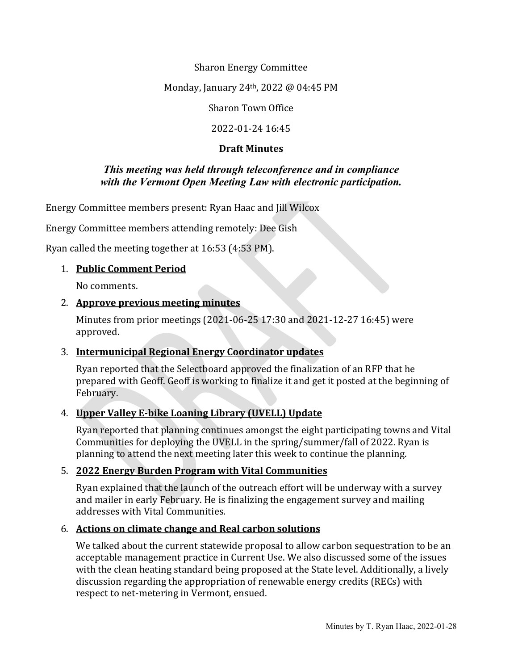Sharon Energy Committee

Monday, January 24th, 2022 @ 04:45 PM

Sharon Town Office

2022-01-24 16:45

### **Draft Minutes**

### *This meeting was held through teleconference and in compliance with the Vermont Open Meeting Law with electronic participation.*

Energy Committee members present: Ryan Haac and Jill Wilcox

Energy Committee members attending remotely: Dee Gish

Ryan called the meeting together at 16:53 (4:53 PM).

## 1. **Public Comment Period**

No comments.

## 2. **Approve previous meeting minutes**

Minutes from prior meetings (2021-06-25 17:30 and 2021-12-27 16:45) were approved.

# 3. **Intermunicipal Regional Energy Coordinator updates**

Ryan reported that the Selectboard approved the finalization of an RFP that he prepared with Geoff. Geoff is working to finalize it and get it posted at the beginning of February.

# 4. **Upper Valley E-bike Loaning Library (UVELL) Update**

Ryan reported that planning continues amongst the eight participating towns and Vital Communities for deploying the UVELL in the spring/summer/fall of 2022. Ryan is planning to attend the next meeting later this week to continue the planning.

### 5. **2022 Energy Burden Program with Vital Communities**

Ryan explained that the launch of the outreach effort will be underway with a survey and mailer in early February. He is finalizing the engagement survey and mailing addresses with Vital Communities.

# 6. **Actions on climate change and Real carbon solutions**

We talked about the current statewide proposal to allow carbon sequestration to be an acceptable management practice in Current Use. We also discussed some of the issues with the clean heating standard being proposed at the State level. Additionally, a lively discussion regarding the appropriation of renewable energy credits (RECs) with respect to net-metering in Vermont, ensued.